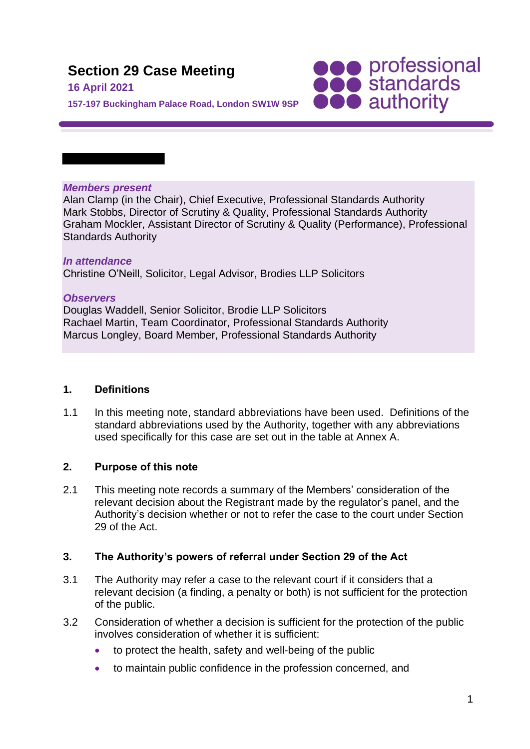# **Section 29 Case Meeting**

#### **16 April 2021**

**SOO professional**<br> **SOO standards**<br> **OOO** authority

**157-197 Buckingham Palace Road, London SW1W 9SP**

# *Members present*

Alan Clamp (in the Chair), Chief Executive, Professional Standards Authority Mark Stobbs, Director of Scrutiny & Quality, Professional Standards Authority Graham Mockler, Assistant Director of Scrutiny & Quality (Performance), Professional Standards Authority

#### *In attendance*

Christine O'Neill, Solicitor, Legal Advisor, Brodies LLP Solicitors

#### *Observers*

Douglas Waddell, Senior Solicitor, Brodie LLP Solicitors Rachael Martin, Team Coordinator, Professional Standards Authority Marcus Longley, Board Member, Professional Standards Authority

#### **1. Definitions**

1.1 In this meeting note, standard abbreviations have been used. Definitions of the standard abbreviations used by the Authority, together with any abbreviations used specifically for this case are set out in the table at Annex A.

# **2. Purpose of this note**

2.1 This meeting note records a summary of the Members' consideration of the relevant decision about the Registrant made by the regulator's panel, and the Authority's decision whether or not to refer the case to the court under Section 29 of the Act.

# **3. The Authority's powers of referral under Section 29 of the Act**

- 3.1 The Authority may refer a case to the relevant court if it considers that a relevant decision (a finding, a penalty or both) is not sufficient for the protection of the public.
- 3.2 Consideration of whether a decision is sufficient for the protection of the public involves consideration of whether it is sufficient:
	- to protect the health, safety and well-being of the public
	- to maintain public confidence in the profession concerned, and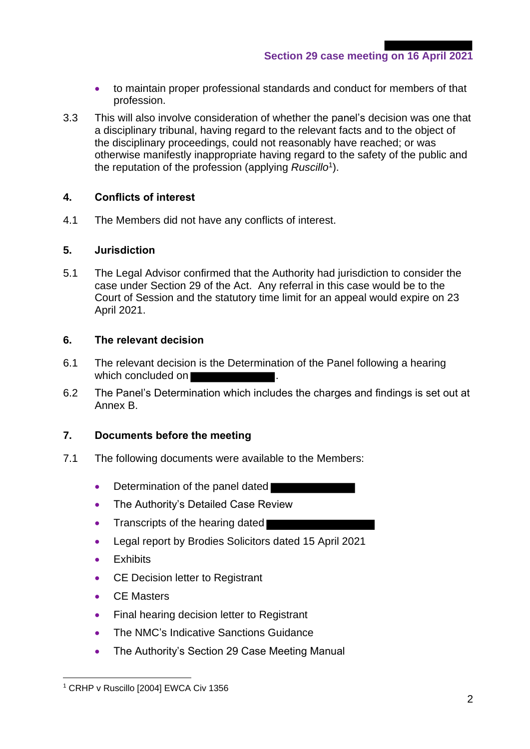**Section 29 case meeting on 16 April 2021**

- to maintain proper professional standards and conduct for members of that profession.
- 3.3 This will also involve consideration of whether the panel's decision was one that a disciplinary tribunal, having regard to the relevant facts and to the object of the disciplinary proceedings, could not reasonably have reached; or was otherwise manifestly inappropriate having regard to the safety of the public and the reputation of the profession (applying *Ruscillo*<sup>1</sup> ).

# **4. Conflicts of interest**

4.1 The Members did not have any conflicts of interest.

# **5. Jurisdiction**

5.1 The Legal Advisor confirmed that the Authority had jurisdiction to consider the case under Section 29 of the Act. Any referral in this case would be to the Court of Session and the statutory time limit for an appeal would expire on 23 April 2021.

# **6. The relevant decision**

- 6.1 The relevant decision is the Determination of the Panel following a hearing which concluded on **b**
- 6.2 The Panel's Determination which includes the charges and findings is set out at Annex B.

# **7. Documents before the meeting**

- 7.1 The following documents were available to the Members:
	- Determination of the panel dated
	- The Authority's Detailed Case Review
	- Transcripts of the hearing dated
	- Legal report by Brodies Solicitors dated 15 April 2021
	- Exhibits
	- CE Decision letter to Registrant
	- CE Masters
	- Final hearing decision letter to Registrant
	- The NMC's Indicative Sanctions Guidance
	- The Authority's Section 29 Case Meeting Manual

<sup>&</sup>lt;sup>1</sup> CRHP v Ruscillo [2004] EWCA Civ 1356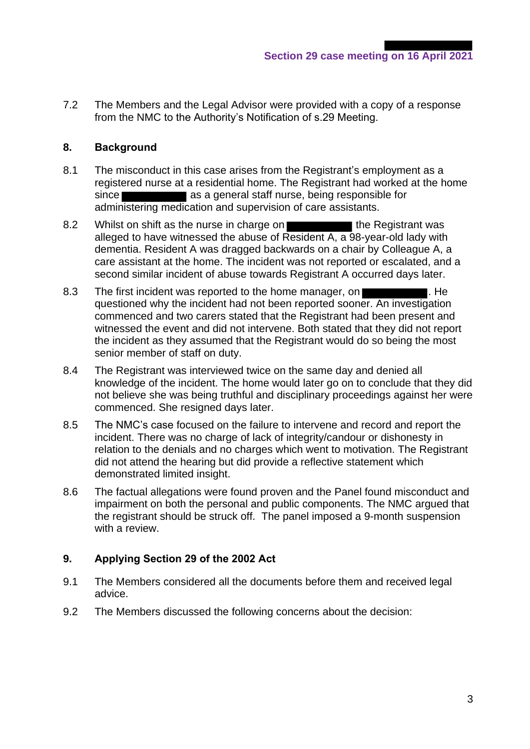7.2 The Members and the Legal Advisor were provided with a copy of a response from the NMC to the Authority's Notification of s.29 Meeting.

#### **8. Background**

- 8.1 The misconduct in this case arises from the Registrant's employment as a registered nurse at a residential home. The Registrant had worked at the home since **as a general staff nurse**, being responsible for administering medication and supervision of care assistants.
- 8.2 Whilst on shift as the nurse in charge on the Registrant was alleged to have witnessed the abuse of Resident A, a 98-year-old lady with dementia. Resident A was dragged backwards on a chair by Colleague A, a care assistant at the home. The incident was not reported or escalated, and a second similar incident of abuse towards Registrant A occurred days later.
- 8.3 The first incident was reported to the home manager, on questioned why the incident had not been reported sooner. An investigation commenced and two carers stated that the Registrant had been present and witnessed the event and did not intervene. Both stated that they did not report the incident as they assumed that the Registrant would do so being the most senior member of staff on duty.
- 8.4 The Registrant was interviewed twice on the same day and denied all knowledge of the incident. The home would later go on to conclude that they did not believe she was being truthful and disciplinary proceedings against her were commenced. She resigned days later.
- 8.5 The NMC's case focused on the failure to intervene and record and report the incident. There was no charge of lack of integrity/candour or dishonesty in relation to the denials and no charges which went to motivation. The Registrant did not attend the hearing but did provide a reflective statement which demonstrated limited insight.
- 8.6 The factual allegations were found proven and the Panel found misconduct and impairment on both the personal and public components. The NMC argued that the registrant should be struck off. The panel imposed a 9-month suspension with a review.

#### **9. Applying Section 29 of the 2002 Act**

- 9.1 The Members considered all the documents before them and received legal advice.
- 9.2 The Members discussed the following concerns about the decision: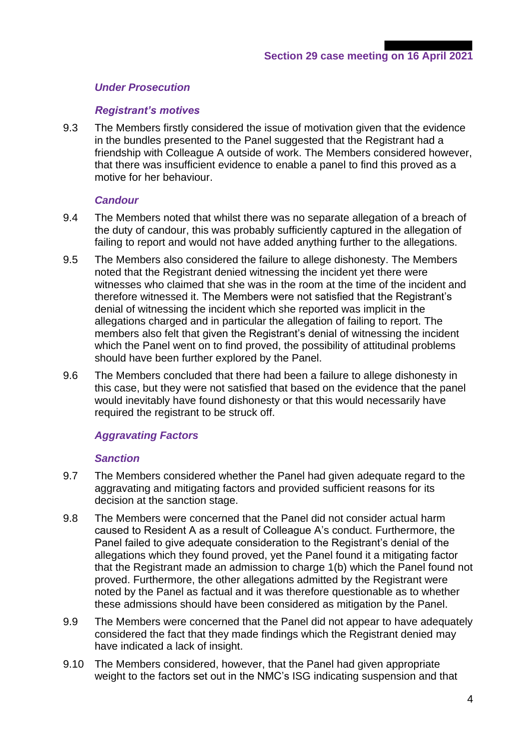# *Under Prosecution*

#### *Registrant's motives*

9.3 The Members firstly considered the issue of motivation given that the evidence in the bundles presented to the Panel suggested that the Registrant had a friendship with Colleague A outside of work. The Members considered however, that there was insufficient evidence to enable a panel to find this proved as a motive for her behaviour.

#### *Candour*

- 9.4 The Members noted that whilst there was no separate allegation of a breach of the duty of candour, this was probably sufficiently captured in the allegation of failing to report and would not have added anything further to the allegations.
- 9.5 The Members also considered the failure to allege dishonesty. The Members noted that the Registrant denied witnessing the incident yet there were witnesses who claimed that she was in the room at the time of the incident and therefore witnessed it. The Members were not satisfied that the Registrant's denial of witnessing the incident which she reported was implicit in the allegations charged and in particular the allegation of failing to report. The members also felt that given the Registrant's denial of witnessing the incident which the Panel went on to find proved, the possibility of attitudinal problems should have been further explored by the Panel.
- 9.6 The Members concluded that there had been a failure to allege dishonesty in this case, but they were not satisfied that based on the evidence that the panel would inevitably have found dishonesty or that this would necessarily have required the registrant to be struck off.

#### *Aggravating Factors*

#### *Sanction*

- 9.7 The Members considered whether the Panel had given adequate regard to the aggravating and mitigating factors and provided sufficient reasons for its decision at the sanction stage.
- 9.8 The Members were concerned that the Panel did not consider actual harm caused to Resident A as a result of Colleague A's conduct. Furthermore, the Panel failed to give adequate consideration to the Registrant's denial of the allegations which they found proved, yet the Panel found it a mitigating factor that the Registrant made an admission to charge 1(b) which the Panel found not proved. Furthermore, the other allegations admitted by the Registrant were noted by the Panel as factual and it was therefore questionable as to whether these admissions should have been considered as mitigation by the Panel.
- 9.9 The Members were concerned that the Panel did not appear to have adequately considered the fact that they made findings which the Registrant denied may have indicated a lack of insight.
- 9.10 The Members considered, however, that the Panel had given appropriate weight to the factors set out in the NMC's ISG indicating suspension and that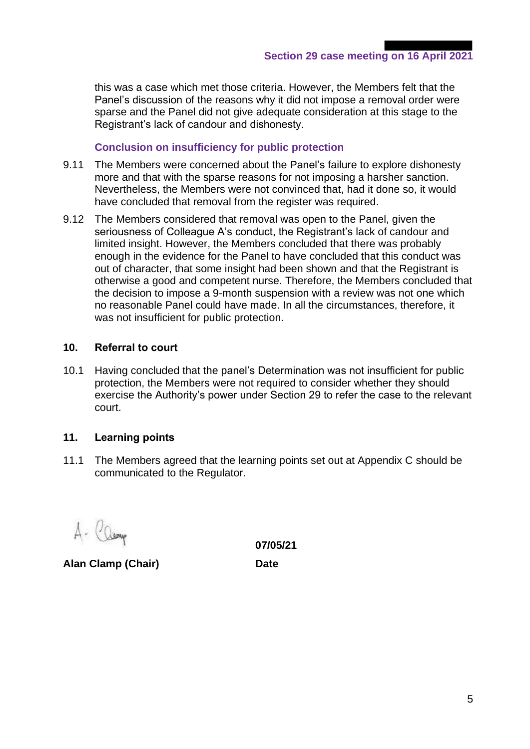this was a case which met those criteria. However, the Members felt that the Panel's discussion of the reasons why it did not impose a removal order were sparse and the Panel did not give adequate consideration at this stage to the Registrant's lack of candour and dishonesty.

# **Conclusion on insufficiency for public protection**

- 9.11 The Members were concerned about the Panel's failure to explore dishonesty more and that with the sparse reasons for not imposing a harsher sanction. Nevertheless, the Members were not convinced that, had it done so, it would have concluded that removal from the register was required.
- 9.12 The Members considered that removal was open to the Panel, given the seriousness of Colleague A's conduct, the Registrant's lack of candour and limited insight. However, the Members concluded that there was probably enough in the evidence for the Panel to have concluded that this conduct was out of character, that some insight had been shown and that the Registrant is otherwise a good and competent nurse. Therefore, the Members concluded that the decision to impose a 9-month suspension with a review was not one which no reasonable Panel could have made. In all the circumstances, therefore, it was not insufficient for public protection.

#### **10. Referral to court**

10.1 Having concluded that the panel's Determination was not insufficient for public protection, the Members were not required to consider whether they should exercise the Authority's power under Section 29 to refer the case to the relevant court.

#### **11. Learning points**

11.1 The Members agreed that the learning points set out at Appendix C should be communicated to the Regulator.

A- Cleany

**Alan Clamp (Chair) Date**

**07/05/21**